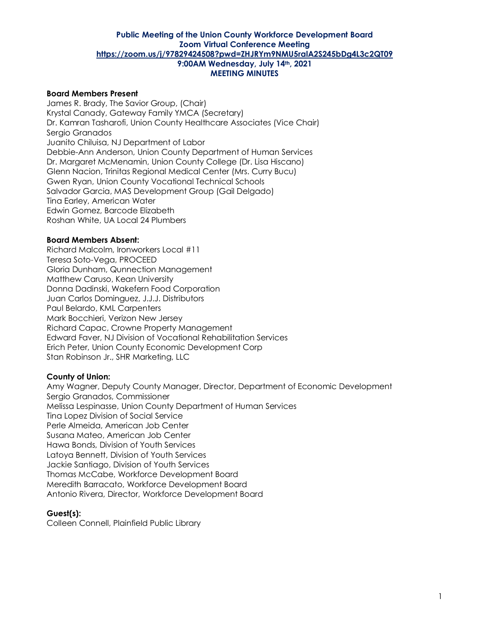## **Board Members Present**

James R. Brady, The Savior Group, (Chair) Krystal Canady, Gateway Family YMCA (Secretary) Dr. Kamran Tasharofi, Union County Healthcare Associates (Vice Chair) Sergio Granados Juanito Chiluisa, NJ Department of Labor Debbie-Ann Anderson, Union County Department of Human Services Dr. Margaret McMenamin, Union County College (Dr. Lisa Hiscano) Glenn Nacion, Trinitas Regional Medical Center (Mrs. Curry Bucu) Gwen Ryan, Union County Vocational Technical Schools Salvador Garcia, MAS Development Group (Gail Delgado) Tina Earley, American Water Edwin Gomez, Barcode Elizabeth Roshan White, UA Local 24 Plumbers

#### **Board Members Absent:**

Richard Malcolm, Ironworkers Local #11 Teresa Soto-Vega, PROCEED Gloria Dunham, Qunnection Management Matthew Caruso, Kean University Donna Dadinski, Wakefern Food Corporation Juan Carlos Dominguez, J.J.J. Distributors Paul Belardo, KML Carpenters Mark Bocchieri, Verizon New Jersey Richard Capac, Crowne Property Management Edward Faver, NJ Division of Vocational Rehabilitation Services Erich Peter, Union County Economic Development Corp Stan Robinson Jr., SHR Marketing, LLC

## **County of Union:**

Amy Wagner, Deputy County Manager, Director, Department of Economic Development Sergio Granados, Commissioner Melissa Lespinasse, Union County Department of Human Services Tina Lopez Division of Social Service Perle Almeida, American Job Center Susana Mateo, American Job Center Hawa Bonds, Division of Youth Services Latoya Bennett, Division of Youth Services Jackie Santiago, Division of Youth Services Thomas McCabe, Workforce Development Board Meredith Barracato, Workforce Development Board Antonio Rivera, Director, Workforce Development Board

#### **Guest(s):**

Colleen Connell, Plainfield Public Library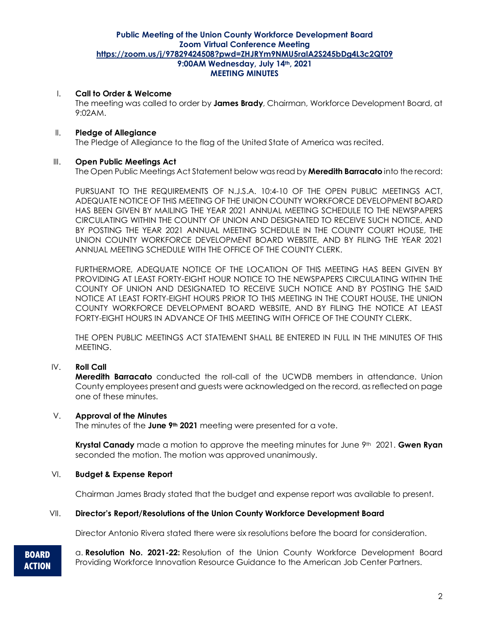## I. **Call to Order & Welcome**

The meeting was called to order by **James Brady**, Chairman, Workforce Development Board, at 9:02AM.

#### II. **Pledge of Allegiance**

The Pledge of Allegiance to the flag of the United State of America was recited.

### III. **Open Public Meetings Act**

The Open Public Meetings Act Statement below was read by **Meredith Barracato** into the record:

PURSUANT TO THE REQUIREMENTS OF N.J.S.A. 10:4-10 OF THE OPEN PUBLIC MEETINGS ACT, ADEQUATE NOTICE OF THIS MEETING OF THE UNION COUNTY WORKFORCE DEVELOPMENT BOARD HAS BEEN GIVEN BY MAILING THE YEAR 2021 ANNUAL MEETING SCHEDULE TO THE NEWSPAPERS CIRCULATING WITHIN THE COUNTY OF UNION AND DESIGNATED TO RECEIVE SUCH NOTICE, AND BY POSTING THE YEAR 2021 ANNUAL MEETING SCHEDULE IN THE COUNTY COURT HOUSE, THE UNION COUNTY WORKFORCE DEVELOPMENT BOARD WEBSITE, AND BY FILING THE YEAR 2021 ANNUAL MEETING SCHEDULE WITH THE OFFICE OF THE COUNTY CLERK.

FURTHERMORE, ADEQUATE NOTICE OF THE LOCATION OF THIS MEETING HAS BEEN GIVEN BY PROVIDING AT LEAST FORTY-EIGHT HOUR NOTICE TO THE NEWSPAPERS CIRCULATING WITHIN THE COUNTY OF UNION AND DESIGNATED TO RECEIVE SUCH NOTICE AND BY POSTING THE SAID NOTICE AT LEAST FORTY-EIGHT HOURS PRIOR TO THIS MEETING IN THE COURT HOUSE, THE UNION COUNTY WORKFORCE DEVELOPMENT BOARD WEBSITE, AND BY FILING THE NOTICE AT LEAST FORTY-EIGHT HOURS IN ADVANCE OF THIS MEETING WITH OFFICE OF THE COUNTY CLERK.

THE OPEN PUBLIC MEETINGS ACT STATEMENT SHALL BE ENTERED IN FULL IN THE MINUTES OF THIS MEETING.

## IV. **Roll Call**

**Meredith Barracato** conducted the roll-call of the UCWDB members in attendance. Union County employees present and guests were acknowledged on the record, as reflected on page one of these minutes.

#### V. **Approval of the Minutes**

The minutes of the **June 9th 2021** meeting were presented for a vote.

**Krystal Canady** made a motion to approve the meeting minutes for June 9th 2021. **Gwen Ryan** seconded the motion. The motion was approved unanimously.

#### VI. **Budget & Expense Report**

Chairman James Brady stated that the budget and expense report was available to present.

### VII. **Director's Report/Resolutions of the Union County Workforce Development Board**

Director Antonio Rivera stated there were six resolutions before the board for consideration.

**BOARD ACTION** a. **Resolution No. 2021-22:** Resolution of the Union County Workforce Development Board Providing Workforce Innovation Resource Guidance to the American Job Center Partners.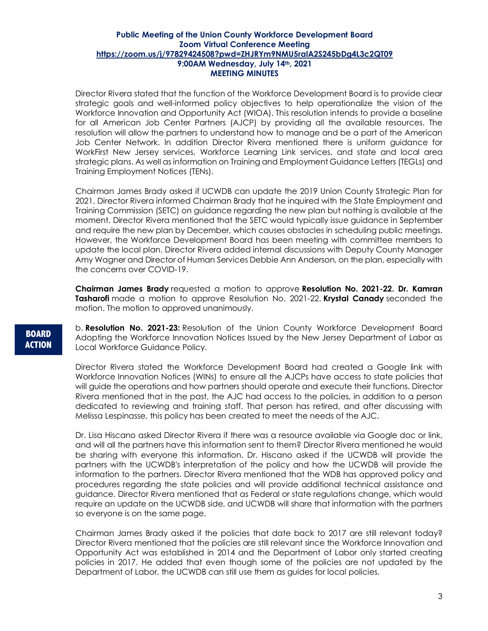Director Rivera stated that the function of the Workforce Development Board is to provide clear strategic goals and well-informed policy objectives to help operationalize the vision of the Workforce Innovation and Opportunity Act (WIOA). This resolution intends to provide a baseline for all American Job Center Partners (AJCP) by providing all the available resources. The resolution will allow the partners to understand how to manage and be a part of the American Job Center Network. In addition Director Rivera mentioned there is uniform guidance for WorkFirst New Jersey services, Workforce Learning Link services, and state and local area strategic plans. As well as information on Training and Employment Guidance Letters (TEGLs) and Training Employment Notices (TENs).

Chairman James Brady asked if UCWDB can update the 2019 Union County Strategic Plan for 2021. Director Rivera informed Chairman Brady that he inquired with the State Employment and Training Commission (SETC) on guidance regarding the new plan but nothing is available at the moment. Director Rivera mentioned that the SETC would typically issue guidance in September and require the new plan by December, which causes obstacles in scheduling public meetings. However, the Workforce Development Board has been meeting with committee members to update the local plan. Director Rivera added internal discussions with Deputy County Manager Amy Wagner and Director of Human Services Debbie Ann Anderson, on the plan, especially with the concerns over COVID-19.

**Chairman James Brady** requested a motion to approve **Resolution No. 2021-22. Dr. Kamran Tasharofi** made a motion to approve Resolution No. 2021-22. **Krystal Canady** seconded the motion. The motion to approved unanimously.

**BOARD ACTION** b. **Resolution No. 2021-23:** Resolution of the Union County Workforce Development Board Adopting the Workforce Innovation Notices Issued by the New Jersey Department of Labor as Local Workforce Guidance Policy.

Director Rivera stated the Workforce Development Board had created a Google link with Workforce Innovation Notices (WINs) to ensure all the AJCPs have access to state policies that will guide the operations and how partners should operate and execute their functions. Director Rivera mentioned that in the past, the AJC had access to the policies, in addition to a person dedicated to reviewing and training staff. That person has retired, and after discussing with Melissa Lespinasse, this policy has been created to meet the needs of the AJC.

Dr. Lisa Hiscano asked Director Rivera if there was a resource available via Google doc or link, and will all the partners have this information sent to them? Director Rivera mentioned he would be sharing with everyone this information. Dr. Hiscano asked if the UCWDB will provide the partners with the UCWDB's interpretation of the policy and how the UCWDB will provide the information to the partners. Director Rivera mentioned that the WDB has approved policy and procedures regarding the state policies and will provide additional technical assistance and guidance. Director Rivera mentioned that as Federal or state regulations change, which would require an update on the UCWDB side, and UCWDB will share that information with the partners so everyone is on the same page.

Chairman James Brady asked if the policies that date back to 2017 are still relevant today? Director Rivera mentioned that the policies are still relevant since the Workforce Innovation and Opportunity Act was established in 2014 and the Department of Labor only started creating policies in 2017. He added that even though some of the policies are not updated by the Department of Labor, the UCWDB can still use them as guides for local policies.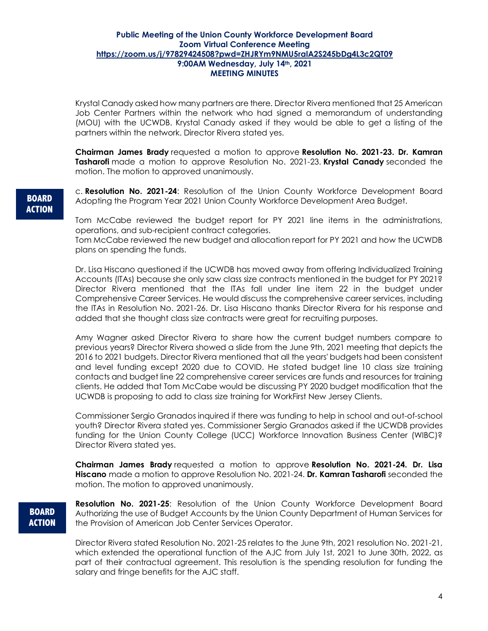Krystal Canady asked how many partners are there. Director Rivera mentioned that 25 American Job Center Partners within the network who had signed a memorandum of understanding (MOU) with the UCWDB. Krystal Canady asked if they would be able to get a listing of the partners within the network. Director Rivera stated yes.

**Chairman James Brady** requested a motion to approve **Resolution No. 2021-23. Dr. Kamran Tasharofi** made a motion to approve Resolution No. 2021-23. **Krystal Canady** seconded the motion. The motion to approved unanimously.

# **BOARD ACTION**

c. **Resolution No. 2021-24**: Resolution of the Union County Workforce Development Board Adopting the Program Year 2021 Union County Workforce Development Area Budget.

Tom McCabe reviewed the budget report for PY 2021 line items in the administrations, operations, and sub-recipient contract categories.

Tom McCabe reviewed the new budget and allocation report for PY 2021 and how the UCWDB plans on spending the funds.

Dr. Lisa Hiscano questioned if the UCWDB has moved away from offering Individualized Training Accounts (ITAs) because she only saw class size contracts mentioned in the budget for PY 2021? Director Rivera mentioned that the ITAs fall under line item 22 in the budget under Comprehensive Career Services. He would discuss the comprehensive career services, including the ITAs in Resolution No. 2021-26. Dr. Lisa Hiscano thanks Director Rivera for his response and added that she thought class size contracts were great for recruiting purposes.

Amy Wagner asked Director Rivera to share how the current budget numbers compare to previous years? Director Rivera showed a slide from the June 9th, 2021 meeting that depicts the 2016 to 2021 budgets. Director Rivera mentioned that all the years' budgets had been consistent and level funding except 2020 due to COVID. He stated budget line 10 class size training contacts and budget line 22 comprehensive career services are funds and resources for training clients. He added that Tom McCabe would be discussing PY 2020 budget modification that the UCWDB is proposing to add to class size training for WorkFirst New Jersey Clients.

Commissioner Sergio Granados inquired if there was funding to help in school and out-of-school youth? Director Rivera stated yes. Commissioner Sergio Granados asked if the UCWDB provides funding for the Union County College (UCC) Workforce Innovation Business Center (WIBC)? Director Rivera stated yes.

**Chairman James Brady** requested a motion to approve **Resolution No. 2021-24. Dr. Lisa Hiscano** made a motion to approve Resolution No. 2021-24. **Dr. Kamran Tasharofi** seconded the motion. The motion to approved unanimously.

# **BOARD ACTION**

**Resolution No. 2021-25**: Resolution of the Union County Workforce Development Board Authorizing the use of Budget Accounts by the Union County Department of Human Services for the Provision of American Job Center Services Operator.

Director Rivera stated Resolution No. 2021-25 relates to the June 9th, 2021 resolution No. 2021-21, which extended the operational function of the AJC from July 1st, 2021 to June 30th, 2022, as part of their contractual agreement. This resolution is the spending resolution for funding the salary and fringe benefits for the AJC staff.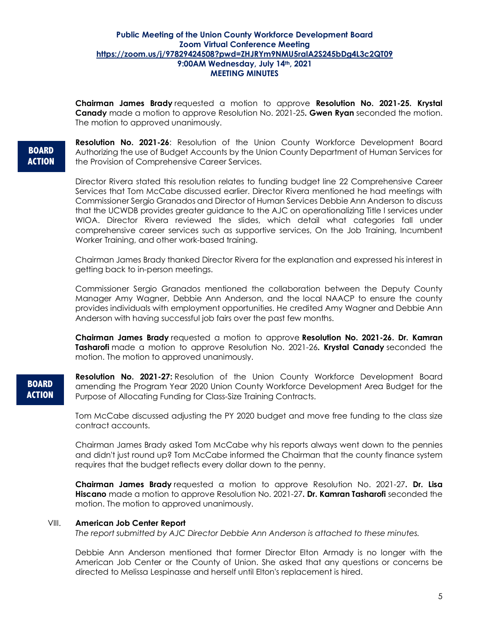**Chairman James Brady** requested a motion to approve **Resolution No. 2021-25. Krystal Canady** made a motion to approve Resolution No. 2021-25**. Gwen Ryan** seconded the motion. The motion to approved unanimously.

## **BOARD ACTION**

**Resolution No. 2021-26**: Resolution of the Union County Workforce Development Board Authorizing the use of Budget Accounts by the Union County Department of Human Services for the Provision of Comprehensive Career Services.

Director Rivera stated this resolution relates to funding budget line 22 Comprehensive Career Services that Tom McCabe discussed earlier. Director Rivera mentioned he had meetings with Commissioner Sergio Granados and Director of Human Services Debbie Ann Anderson to discuss that the UCWDB provides greater guidance to the AJC on operationalizing Title I services under WIOA. Director Rivera reviewed the slides, which detail what categories fall under comprehensive career services such as supportive services, On the Job Training, Incumbent Worker Training, and other work-based training.

Chairman James Brady thanked Director Rivera for the explanation and expressed his interest in getting back to in-person meetings.

Commissioner Sergio Granados mentioned the collaboration between the Deputy County Manager Amy Wagner, Debbie Ann Anderson, and the local NAACP to ensure the county provides individuals with employment opportunities. He credited Amy Wagner and Debbie Ann Anderson with having successful job fairs over the past few months.

**Chairman James Brady** requested a motion to approve **Resolution No. 2021-26. Dr. Kamran Tasharofi** made a motion to approve Resolution No. 2021-26. Krystal Canady seconded the motion. The motion to approved unanimously.

# **BOARD ACTION**

**Resolution No. 2021-27:** Resolution of the Union County Workforce Development Board amending the Program Year 2020 Union County Workforce Development Area Budget for the Purpose of Allocating Funding for Class-Size Training Contracts.

Tom McCabe discussed adjusting the PY 2020 budget and move free funding to the class size contract accounts.

Chairman James Brady asked Tom McCabe why his reports always went down to the pennies and didn't just round up? Tom McCabe informed the Chairman that the county finance system requires that the budget reflects every dollar down to the penny.

**Chairman James Brady** requested a motion to approve Resolution No. 2021-27**. Dr. Lisa Hiscano** made a motion to approve Resolution No. 2021-27**. Dr. Kamran Tasharofi** seconded the motion. The motion to approved unanimously.

## VIII. **American Job Center Report**

*The report submitted by AJC Director Debbie Ann Anderson is attached to these minutes.*

Debbie Ann Anderson mentioned that former Director Elton Armady is no longer with the American Job Center or the County of Union. She asked that any questions or concerns be directed to Melissa Lespinasse and herself until Elton's replacement is hired.